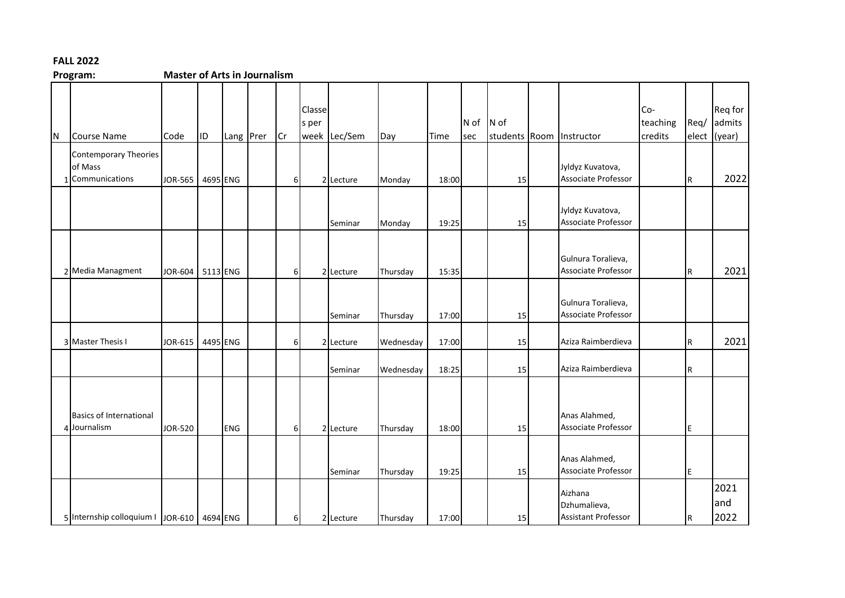## **FALL 2022**

**Master of Arts in Journalism** 

| IN. | <b>Course Name</b>                                        | Code    | ID       | Lang Prer  | Cr             | Classe<br>s per | week Lec/Sem | Day       | Time  | N of<br>sec | $N$ of<br>students Room | Instructor                                            | Co-<br>teaching<br>credits | Req/<br>elect | Req for<br>admits<br>(year) |
|-----|-----------------------------------------------------------|---------|----------|------------|----------------|-----------------|--------------|-----------|-------|-------------|-------------------------|-------------------------------------------------------|----------------------------|---------------|-----------------------------|
|     | <b>Contemporary Theories</b><br>of Mass<br>Communications | JOR-565 | 4695 ENG |            | 6              |                 | 2 Lecture    | Monday    | 18:00 |             | 15                      | Jyldyz Kuvatova,<br>Associate Professor               |                            | R             | 2022                        |
|     |                                                           |         |          |            |                |                 | Seminar      | Monday    | 19:25 |             | 15                      | Jyldyz Kuvatova,<br>Associate Professor               |                            |               |                             |
|     | 2 Media Managment                                         | JOR-604 | 5113 ENG |            | 6              |                 | 2 Lecture    | Thursday  | 15:35 |             |                         | Gulnura Toralieva,<br>Associate Professor             |                            | l R           | 2021                        |
|     |                                                           |         |          |            |                |                 | Seminar      | Thursday  | 17:00 |             | 15                      | Gulnura Toralieva,<br>Associate Professor             |                            |               |                             |
|     | 3 Master Thesis I                                         | JOR-615 | 4495 ENG |            | 6 <sup>1</sup> |                 | 2 Lecture    | Wednesday | 17:00 |             | 15                      | Aziza Raimberdieva                                    |                            | l R           | 2021                        |
|     |                                                           |         |          |            |                |                 | Seminar      | Wednesday | 18:25 |             | 15                      | Aziza Raimberdieva                                    |                            | R             |                             |
|     | <b>Basics of International</b><br>4 Journalism            | JOR-520 |          | <b>ENG</b> | $6 \mid$       |                 | 2 Lecture    | Thursday  | 18:00 |             | 15                      | Anas Alahmed,<br>Associate Professor                  |                            | E             |                             |
|     |                                                           |         |          |            |                |                 | Seminar      | Thursday  | 19:25 |             | 15                      | Anas Alahmed,<br>Associate Professor                  |                            | ΙE            |                             |
|     | 5 Internship colloquium   JOR-610   4694 ENG              |         |          |            | 61             |                 | 2 Lecture    | Thursday  | 17:00 |             | 15                      | Aizhana<br>Dzhumalieva,<br><b>Assistant Professor</b> |                            | IR.           | 2021<br>land<br>2022        |